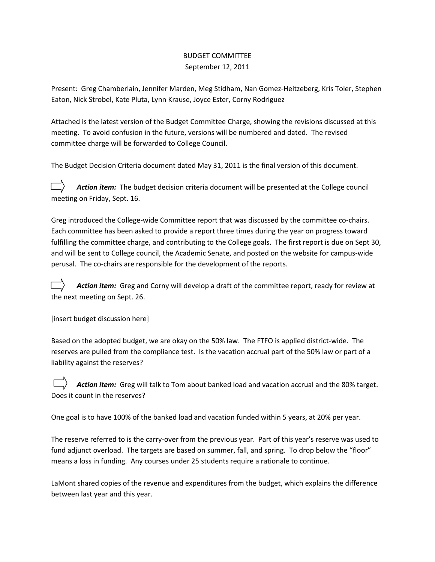## BUDGET COMMITTEE September 12, 2011

Present: Greg Chamberlain, Jennifer Marden, Meg Stidham, Nan Gomez-Heitzeberg, Kris Toler, Stephen Eaton, Nick Strobel, Kate Pluta, Lynn Krause, Joyce Ester, Corny Rodriguez

Attached is the latest version of the Budget Committee Charge, showing the revisions discussed at this meeting. To avoid confusion in the future, versions will be numbered and dated. The revised committee charge will be forwarded to College Council.

The Budget Decision Criteria document dated May 31, 2011 is the final version of this document.

Action item: The budget decision criteria document will be presented at the College council meeting on Friday, Sept. 16.

Greg introduced the College-wide Committee report that was discussed by the committee co-chairs. Each committee has been asked to provide a report three times during the year on progress toward fulfilling the committee charge, and contributing to the College goals. The first report is due on Sept 30, and will be sent to College council, the Academic Senate, and posted on the website for campus-wide perusal. The co-chairs are responsible for the development of the reports.

*Action item:* Greg and Corny will develop a draft of the committee report, ready for review at the next meeting on Sept. 26.

[insert budget discussion here]

Based on the adopted budget, we are okay on the 50% law. The FTFO is applied district-wide. The reserves are pulled from the compliance test. Is the vacation accrual part of the 50% law or part of a liability against the reserves?

*Action item:* Greg will talk to Tom about banked load and vacation accrual and the 80% target. Does it count in the reserves?

One goal is to have 100% of the banked load and vacation funded within 5 years, at 20% per year.

The reserve referred to is the carry-over from the previous year. Part of this year's reserve was used to fund adjunct overload. The targets are based on summer, fall, and spring. To drop below the "floor" means a loss in funding. Any courses under 25 students require a rationale to continue.

LaMont shared copies of the revenue and expenditures from the budget, which explains the difference between last year and this year.